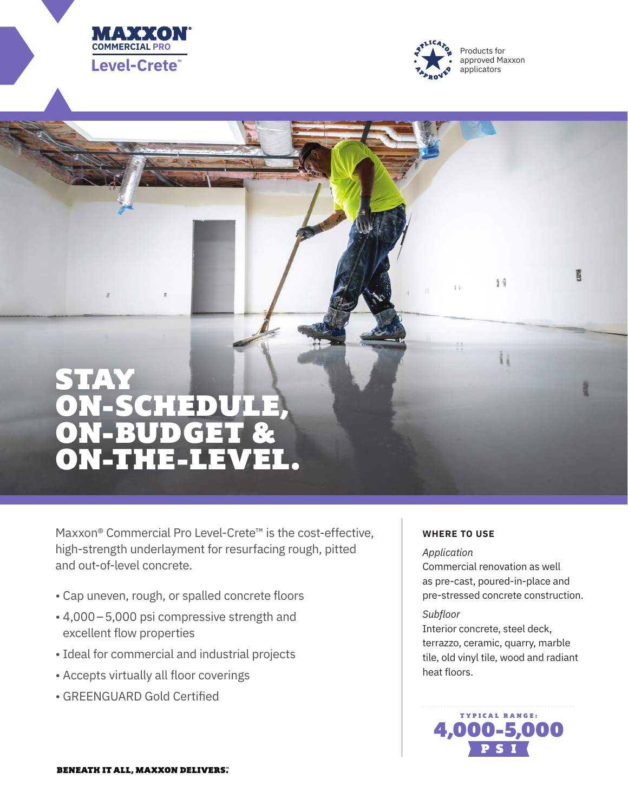



# STAY ON-SCHEDULE, ON-BUDGET & ON-THE-LEVEL.

Maxxon® Commercial Pro Level-Crete™ is the cost-effective, high-strength underlayment for resurfacing rough, pitted and out-of-level concrete.

- Cap uneven, rough, or spalled concrete floors
- 4,000–5,000 psi compressive strength and excellent flow properties
- Ideal for commercial and industrial projects
- Accepts virtually all floor coverings
- GREENGUARD Gold Certified

## **WHERE TO USE**

## *Application*

Commercial renovation as well as pre-cast, poured-in-place and pre-stressed concrete construction.

19

 $\frac{1}{3}$ 

買

#### *Subfloor*

Interior concrete, steel deck, terrazzo, ceramic, quarry, marble tile, old vinyl tile, wood and radiant heat floors.